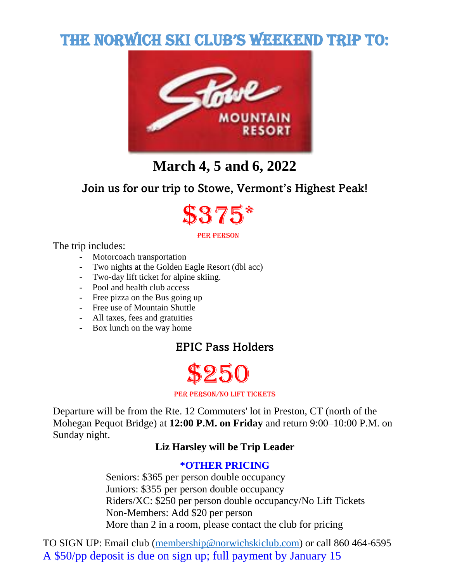# THE NORWICH SKI CLUB'S WEEKEND TRIP TO:



# **March 4, 5 and 6, 2022**

# Join us for our trip to Stowe, Vermont's Highest Peak!



#### per person

The trip includes:

- Motorcoach transportation
- Two nights at the Golden Eagle Resort (dbl acc)
- Two-day lift ticket for alpine skiing.
- Pool and health club access
- Free pizza on the Bus going up
- Free use of Mountain Shuttle
- All taxes, fees and gratuities
- Box lunch on the way home

# EPIC Pass Holders

# \$250

#### per person/no lift tickets

Departure will be from the Rte. 12 Commuters' lot in Preston, CT (north of the Mohegan Pequot Bridge) at **12:00 P.M. on Friday** and return 9:00–10:00 P.M. on Sunday night.

#### **Liz Harsley will be Trip Leader**

#### **\*OTHER PRICING**

Seniors: \$365 per person double occupancy Juniors: \$355 per person double occupancy Riders/XC: \$250 per person double occupancy/No Lift Tickets Non-Members: Add \$20 per person More than 2 in a room, please contact the club for pricing

TO SIGN UP: Email club [\(membership@norwichskiclub.com\)](mailto:membership@norwichskiclub.com) or call 860 464-6595 A \$50/pp deposit is due on sign up; full payment by January 15